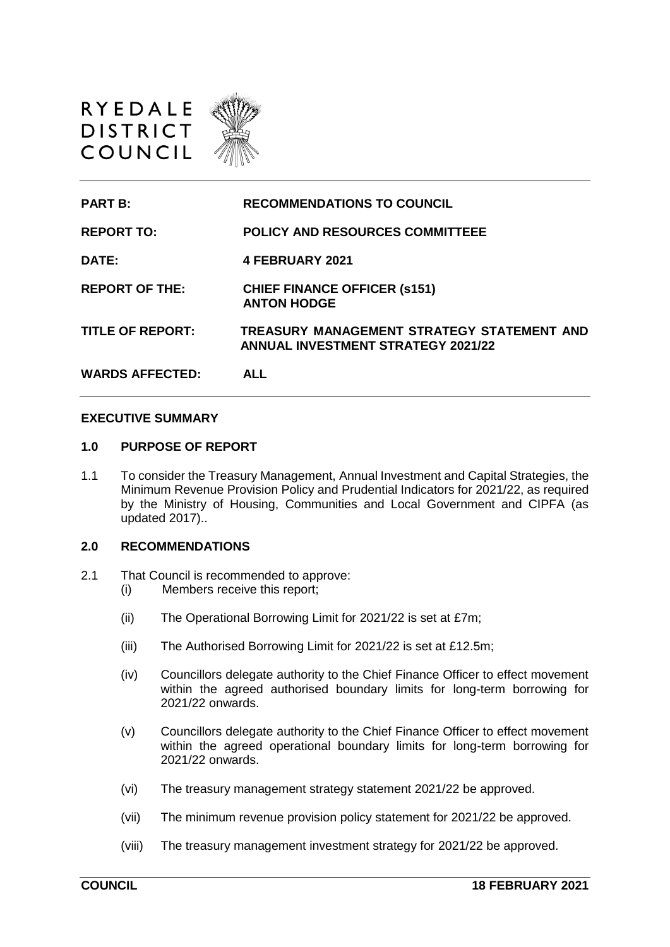

| <b>PART B:</b>          | <b>RECOMMENDATIONS TO COUNCIL</b>                                                       |
|-------------------------|-----------------------------------------------------------------------------------------|
| <b>REPORT TO:</b>       | <b>POLICY AND RESOURCES COMMITTEEE</b>                                                  |
| DATE:                   | 4 FEBRUARY 2021                                                                         |
| <b>REPORT OF THE:</b>   | <b>CHIEF FINANCE OFFICER (s151)</b><br><b>ANTON HODGE</b>                               |
| <b>TITLE OF REPORT:</b> | TREASURY MANAGEMENT STRATEGY STATEMENT AND<br><b>ANNUAL INVESTMENT STRATEGY 2021/22</b> |
| <b>WARDS AFFECTED:</b>  | ALL                                                                                     |

### **EXECUTIVE SUMMARY**

#### **1.0 PURPOSE OF REPORT**

1.1 To consider the Treasury Management, Annual Investment and Capital Strategies, the Minimum Revenue Provision Policy and Prudential Indicators for 2021/22, as required by the Ministry of Housing, Communities and Local Government and CIPFA (as updated 2017)..

#### **2.0 RECOMMENDATIONS**

- 2.1 That Council is recommended to approve:
	- (i) Members receive this report;
	- (ii) The Operational Borrowing Limit for 2021/22 is set at £7m;
	- (iii) The Authorised Borrowing Limit for 2021/22 is set at £12.5m;
	- (iv) Councillors delegate authority to the Chief Finance Officer to effect movement within the agreed authorised boundary limits for long-term borrowing for 2021/22 onwards.
	- (v) Councillors delegate authority to the Chief Finance Officer to effect movement within the agreed operational boundary limits for long-term borrowing for 2021/22 onwards.
	- (vi) The treasury management strategy statement 2021/22 be approved.
	- (vii) The minimum revenue provision policy statement for 2021/22 be approved.
	- (viii) The treasury management investment strategy for 2021/22 be approved.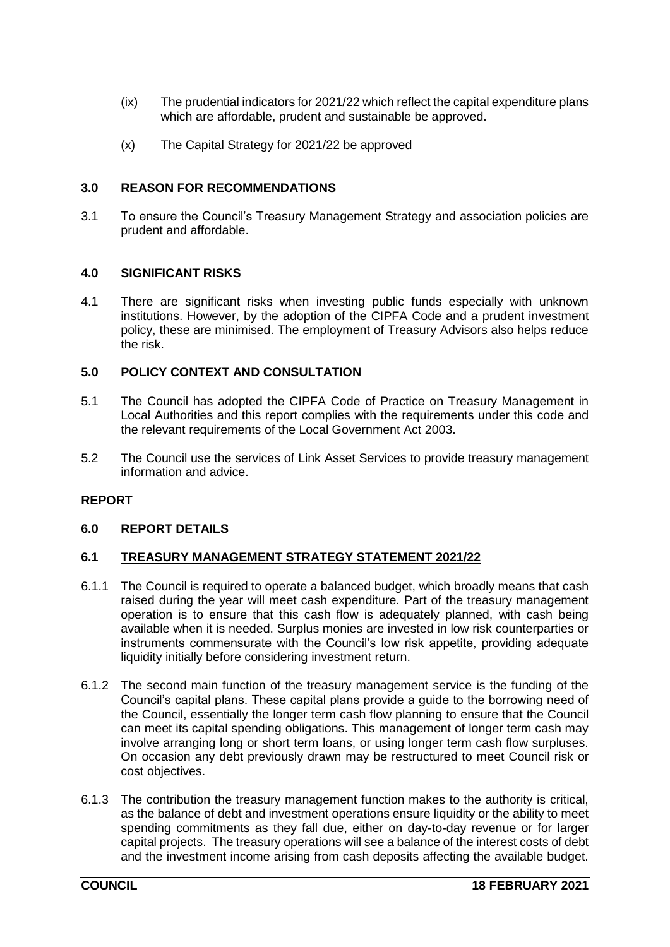- (ix) The prudential indicators for 2021/22 which reflect the capital expenditure plans which are affordable, prudent and sustainable be approved.
- (x) The Capital Strategy for 2021/22 be approved

# **3.0 REASON FOR RECOMMENDATIONS**

3.1 To ensure the Council's Treasury Management Strategy and association policies are prudent and affordable.

# **4.0 SIGNIFICANT RISKS**

4.1 There are significant risks when investing public funds especially with unknown institutions. However, by the adoption of the CIPFA Code and a prudent investment policy, these are minimised. The employment of Treasury Advisors also helps reduce the risk.

# **5.0 POLICY CONTEXT AND CONSULTATION**

- 5.1 The Council has adopted the CIPFA Code of Practice on Treasury Management in Local Authorities and this report complies with the requirements under this code and the relevant requirements of the Local Government Act 2003.
- 5.2 The Council use the services of Link Asset Services to provide treasury management information and advice.

## **REPORT**

## **6.0 REPORT DETAILS**

## **6.1 TREASURY MANAGEMENT STRATEGY STATEMENT 2021/22**

- 6.1.1 The Council is required to operate a balanced budget, which broadly means that cash raised during the year will meet cash expenditure. Part of the treasury management operation is to ensure that this cash flow is adequately planned, with cash being available when it is needed. Surplus monies are invested in low risk counterparties or instruments commensurate with the Council's low risk appetite, providing adequate liquidity initially before considering investment return.
- 6.1.2 The second main function of the treasury management service is the funding of the Council's capital plans. These capital plans provide a guide to the borrowing need of the Council, essentially the longer term cash flow planning to ensure that the Council can meet its capital spending obligations. This management of longer term cash may involve arranging long or short term loans, or using longer term cash flow surpluses. On occasion any debt previously drawn may be restructured to meet Council risk or cost objectives.
- 6.1.3 The contribution the treasury management function makes to the authority is critical, as the balance of debt and investment operations ensure liquidity or the ability to meet spending commitments as they fall due, either on day-to-day revenue or for larger capital projects. The treasury operations will see a balance of the interest costs of debt and the investment income arising from cash deposits affecting the available budget.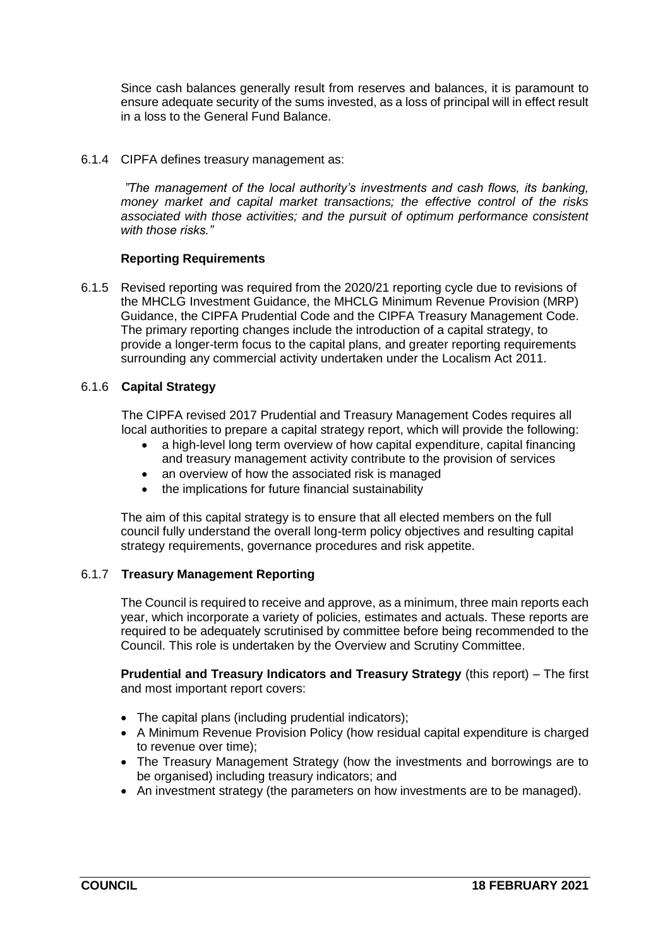Since cash balances generally result from reserves and balances, it is paramount to ensure adequate security of the sums invested, as a loss of principal will in effect result in a loss to the General Fund Balance.

6.1.4 CIPFA defines treasury management as:

*"The management of the local authority's investments and cash flows, its banking, money market and capital market transactions; the effective control of the risks associated with those activities; and the pursuit of optimum performance consistent with those risks."*

# **Reporting Requirements**

6.1.5 Revised reporting was required from the 2020/21 reporting cycle due to revisions of the MHCLG Investment Guidance, the MHCLG Minimum Revenue Provision (MRP) Guidance, the CIPFA Prudential Code and the CIPFA Treasury Management Code. The primary reporting changes include the introduction of a capital strategy, to provide a longer-term focus to the capital plans, and greater reporting requirements surrounding any commercial activity undertaken under the Localism Act 2011.

# 6.1.6 **Capital Strategy**

The CIPFA revised 2017 Prudential and Treasury Management Codes requires all local authorities to prepare a capital strategy report, which will provide the following:

- a high-level long term overview of how capital expenditure, capital financing and treasury management activity contribute to the provision of services
- an overview of how the associated risk is managed
- the implications for future financial sustainability

The aim of this capital strategy is to ensure that all elected members on the full council fully understand the overall long-term policy objectives and resulting capital strategy requirements, governance procedures and risk appetite.

## 6.1.7 **Treasury Management Reporting**

The Council is required to receive and approve, as a minimum, three main reports each year, which incorporate a variety of policies, estimates and actuals. These reports are required to be adequately scrutinised by committee before being recommended to the Council. This role is undertaken by the Overview and Scrutiny Committee.

**Prudential and Treasury Indicators and Treasury Strategy** (this report) – The first and most important report covers:

- The capital plans (including prudential indicators);
- A Minimum Revenue Provision Policy (how residual capital expenditure is charged to revenue over time);
- The Treasury Management Strategy (how the investments and borrowings are to be organised) including treasury indicators; and
- An investment strategy (the parameters on how investments are to be managed).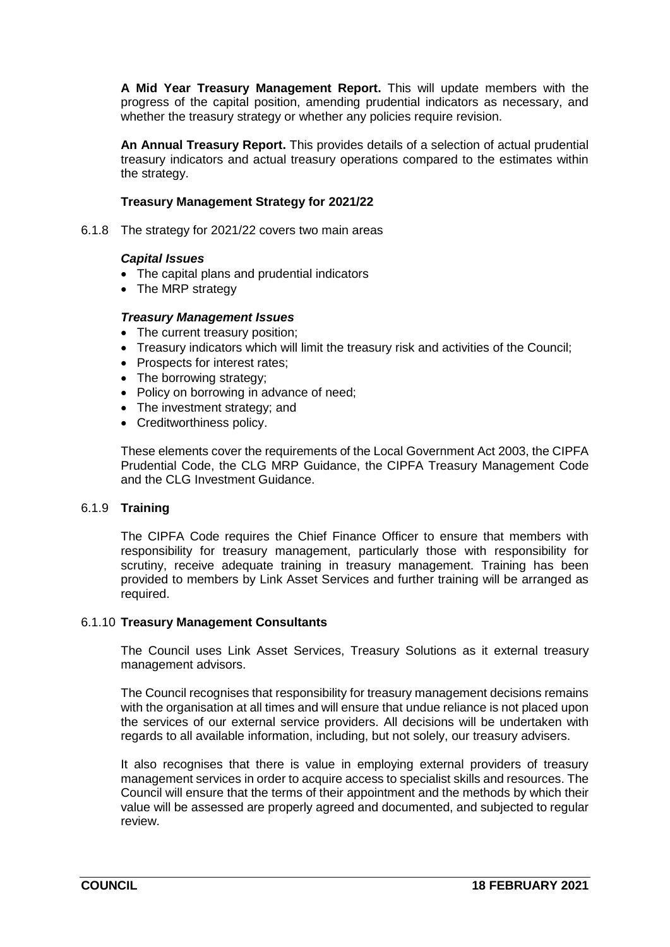**A Mid Year Treasury Management Report.** This will update members with the progress of the capital position, amending prudential indicators as necessary, and whether the treasury strategy or whether any policies require revision.

**An Annual Treasury Report.** This provides details of a selection of actual prudential treasury indicators and actual treasury operations compared to the estimates within the strategy.

# **Treasury Management Strategy for 2021/22**

6.1.8 The strategy for 2021/22 covers two main areas

## *Capital Issues*

- The capital plans and prudential indicators
- The MRP strategy

#### *Treasury Management Issues*

- The current treasury position;
- Treasury indicators which will limit the treasury risk and activities of the Council;
- Prospects for interest rates;
- The borrowing strategy;
- Policy on borrowing in advance of need;
- The investment strategy; and
- Creditworthiness policy.

These elements cover the requirements of the Local Government Act 2003, the CIPFA Prudential Code, the CLG MRP Guidance, the CIPFA Treasury Management Code and the CLG Investment Guidance.

#### 6.1.9 **Training**

The CIPFA Code requires the Chief Finance Officer to ensure that members with responsibility for treasury management, particularly those with responsibility for scrutiny, receive adequate training in treasury management. Training has been provided to members by Link Asset Services and further training will be arranged as required.

#### 6.1.10 **Treasury Management Consultants**

The Council uses Link Asset Services, Treasury Solutions as it external treasury management advisors.

The Council recognises that responsibility for treasury management decisions remains with the organisation at all times and will ensure that undue reliance is not placed upon the services of our external service providers. All decisions will be undertaken with regards to all available information, including, but not solely, our treasury advisers.

It also recognises that there is value in employing external providers of treasury management services in order to acquire access to specialist skills and resources. The Council will ensure that the terms of their appointment and the methods by which their value will be assessed are properly agreed and documented, and subjected to regular review.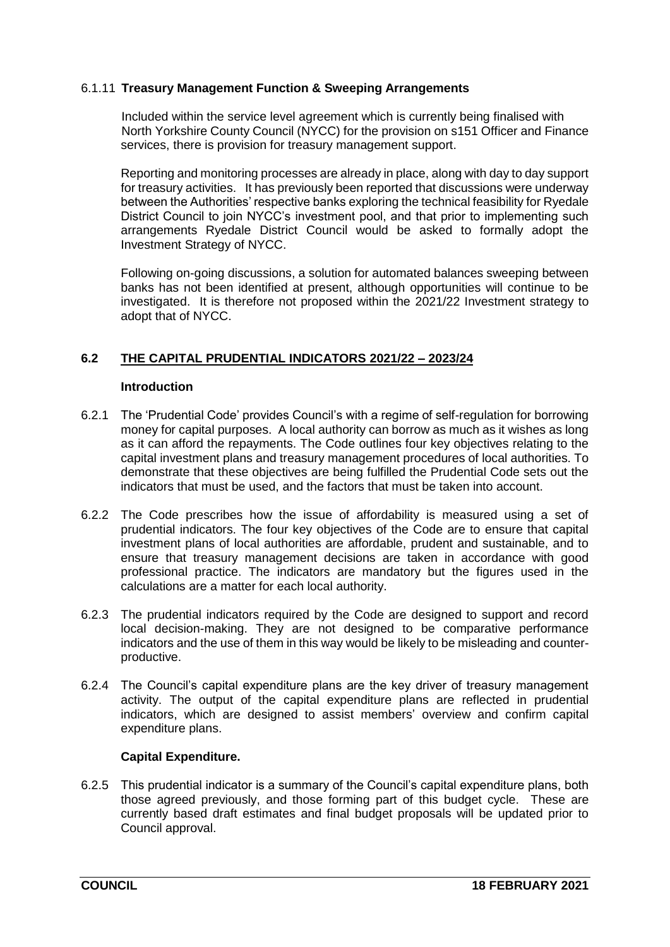# 6.1.11 **Treasury Management Function & Sweeping Arrangements**

Included within the service level agreement which is currently being finalised with North Yorkshire County Council (NYCC) for the provision on s151 Officer and Finance services, there is provision for treasury management support.

Reporting and monitoring processes are already in place, along with day to day support for treasury activities. It has previously been reported that discussions were underway between the Authorities' respective banks exploring the technical feasibility for Ryedale District Council to join NYCC's investment pool, and that prior to implementing such arrangements Ryedale District Council would be asked to formally adopt the Investment Strategy of NYCC.

Following on-going discussions, a solution for automated balances sweeping between banks has not been identified at present, although opportunities will continue to be investigated. It is therefore not proposed within the 2021/22 Investment strategy to adopt that of NYCC.

# **6.2 THE CAPITAL PRUDENTIAL INDICATORS 2021/22 – 2023/24**

#### **Introduction**

- 6.2.1 The 'Prudential Code' provides Council's with a regime of self-regulation for borrowing money for capital purposes. A local authority can borrow as much as it wishes as long as it can afford the repayments. The Code outlines four key objectives relating to the capital investment plans and treasury management procedures of local authorities. To demonstrate that these objectives are being fulfilled the Prudential Code sets out the indicators that must be used, and the factors that must be taken into account.
- 6.2.2 The Code prescribes how the issue of affordability is measured using a set of prudential indicators. The four key objectives of the Code are to ensure that capital investment plans of local authorities are affordable, prudent and sustainable, and to ensure that treasury management decisions are taken in accordance with good professional practice. The indicators are mandatory but the figures used in the calculations are a matter for each local authority.
- 6.2.3 The prudential indicators required by the Code are designed to support and record local decision-making. They are not designed to be comparative performance indicators and the use of them in this way would be likely to be misleading and counterproductive.
- 6.2.4 The Council's capital expenditure plans are the key driver of treasury management activity. The output of the capital expenditure plans are reflected in prudential indicators, which are designed to assist members' overview and confirm capital expenditure plans.

# **Capital Expenditure.**

6.2.5 This prudential indicator is a summary of the Council's capital expenditure plans, both those agreed previously, and those forming part of this budget cycle. These are currently based draft estimates and final budget proposals will be updated prior to Council approval.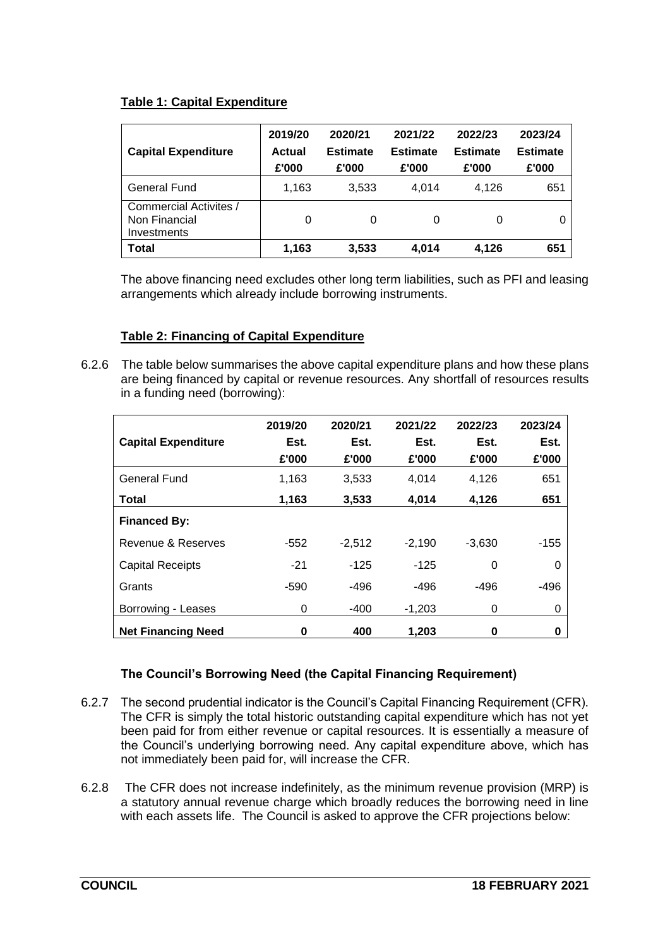# **Table 1: Capital Expenditure**

| <b>Capital Expenditure</b>                             | 2019/20<br>2020/21<br>2021/22<br><b>Estimate</b><br><b>Estimate</b><br>Actual<br>£'000<br>£'000<br>£'000 |       | 2022/23<br>Estimate<br>£'000 | 2023/24<br><b>Estimate</b><br>£'000 |     |
|--------------------------------------------------------|----------------------------------------------------------------------------------------------------------|-------|------------------------------|-------------------------------------|-----|
| <b>General Fund</b>                                    | 1,163                                                                                                    | 3,533 | 4.014                        | 4.126                               | 651 |
| Commercial Activites /<br>Non Financial<br>Investments | 0                                                                                                        | 0     | 0                            | 0                                   | 0   |
| Total                                                  | 1.163                                                                                                    | 3,533 | 4.014                        | 4.126                               | 651 |

The above financing need excludes other long term liabilities, such as PFI and leasing arrangements which already include borrowing instruments.

# **Table 2: Financing of Capital Expenditure**

6.2.6 The table below summarises the above capital expenditure plans and how these plans are being financed by capital or revenue resources. Any shortfall of resources results in a funding need (borrowing):

|                            | 2019/20 | 2020/21  | 2021/22  | 2022/23  | 2023/24 |
|----------------------------|---------|----------|----------|----------|---------|
| <b>Capital Expenditure</b> | Est.    | Est.     | Est.     | Est.     | Est.    |
|                            | £'000   | £'000    | £'000    | £'000    | £'000   |
| General Fund               | 1,163   | 3,533    | 4.014    | 4,126    | 651     |
| Total                      | 1,163   | 3,533    | 4,014    | 4,126    | 651     |
| <b>Financed By:</b>        |         |          |          |          |         |
| Revenue & Reserves         | $-552$  | $-2,512$ | $-2,190$ | $-3,630$ | $-155$  |
| <b>Capital Receipts</b>    | $-21$   | $-125$   | $-125$   | 0        | 0       |
| Grants                     | $-590$  | $-496$   | $-496$   | $-496$   | $-496$  |
| Borrowing - Leases         | 0       | $-400$   | $-1,203$ | 0        | 0       |
| <b>Net Financing Need</b>  | 0       | 400      | 1.203    | 0        | 0       |

# **The Council's Borrowing Need (the Capital Financing Requirement)**

- 6.2.7 The second prudential indicator is the Council's Capital Financing Requirement (CFR). The CFR is simply the total historic outstanding capital expenditure which has not yet been paid for from either revenue or capital resources. It is essentially a measure of the Council's underlying borrowing need. Any capital expenditure above, which has not immediately been paid for, will increase the CFR.
- 6.2.8 The CFR does not increase indefinitely, as the minimum revenue provision (MRP) is a statutory annual revenue charge which broadly reduces the borrowing need in line with each assets life. The Council is asked to approve the CFR projections below: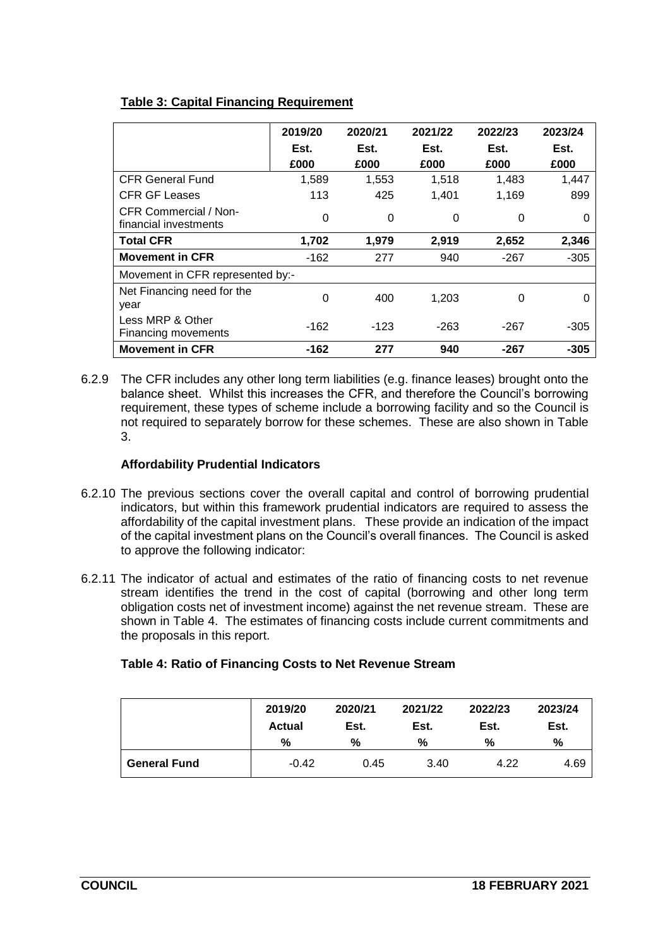# **Table 3: Capital Financing Requirement**

|                                                | 2019/20<br>2020/21 |       | 2021/22  | 2022/23 | 2023/24 |
|------------------------------------------------|--------------------|-------|----------|---------|---------|
|                                                | Est.               | Est.  | Est.     | Est.    | Est.    |
|                                                | £000               | £000  | £000     | £000    | £000    |
| <b>CFR General Fund</b>                        | 1,589              | 1,553 | 1,518    | 1,483   | 1,447   |
| <b>CFR GF Leases</b>                           | 113                | 425   | 1,401    | 1,169   | 899     |
| CFR Commercial / Non-<br>financial investments | 0                  | 0     | $\Omega$ | 0       | Ω       |
| <b>Total CFR</b>                               | 1,702              | 1,979 | 2,919    | 2,652   | 2,346   |
| <b>Movement in CFR</b>                         | -162               | 277   | 940      | -267    | $-305$  |
| Movement in CFR represented by:-               |                    |       |          |         |         |
| Net Financing need for the<br>year             | $\Omega$           | 400   | 1,203    | 0       | 0       |
| Less MRP & Other<br>Financing movements        | -162               | -123  | -263     | $-267$  | -305    |
| <b>Movement in CFR</b>                         | -162               | 277   | 940      | $-267$  | -305    |

6.2.9 The CFR includes any other long term liabilities (e.g. finance leases) brought onto the balance sheet. Whilst this increases the CFR, and therefore the Council's borrowing requirement, these types of scheme include a borrowing facility and so the Council is not required to separately borrow for these schemes. These are also shown in Table 3.

# **Affordability Prudential Indicators**

- 6.2.10 The previous sections cover the overall capital and control of borrowing prudential indicators, but within this framework prudential indicators are required to assess the affordability of the capital investment plans. These provide an indication of the impact of the capital investment plans on the Council's overall finances. The Council is asked to approve the following indicator:
- 6.2.11 The indicator of actual and estimates of the ratio of financing costs to net revenue stream identifies the trend in the cost of capital (borrowing and other long term obligation costs net of investment income) against the net revenue stream. These are shown in Table 4. The estimates of financing costs include current commitments and the proposals in this report.

|                     | 2019/20<br><b>Actual</b> | 2020/21<br>Est. | 2021/22<br>Est. | 2022/23<br>Est. | 2023/24<br>Est. |  |
|---------------------|--------------------------|-----------------|-----------------|-----------------|-----------------|--|
|                     | %                        | %               | %               | %               | %               |  |
| <b>General Fund</b> | $-0.42$                  | 0.45            | 3.40            | 4.22            | 4.69            |  |

# **Table 4: Ratio of Financing Costs to Net Revenue Stream**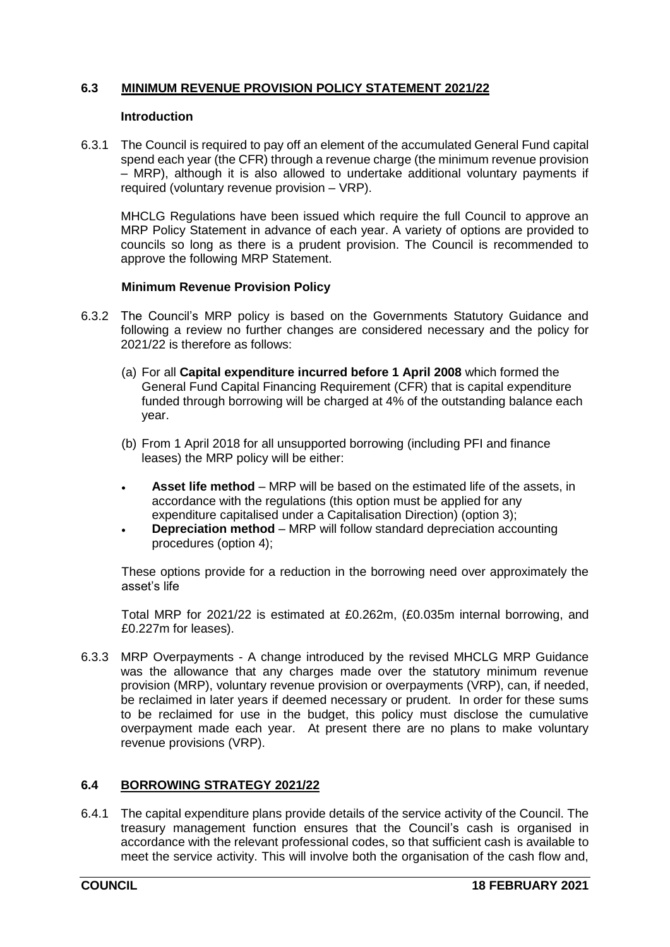# **6.3 MINIMUM REVENUE PROVISION POLICY STATEMENT 2021/22**

## **Introduction**

6.3.1 The Council is required to pay off an element of the accumulated General Fund capital spend each year (the CFR) through a revenue charge (the minimum revenue provision – MRP), although it is also allowed to undertake additional voluntary payments if required (voluntary revenue provision – VRP).

MHCLG Regulations have been issued which require the full Council to approve an MRP Policy Statement in advance of each year. A variety of options are provided to councils so long as there is a prudent provision. The Council is recommended to approve the following MRP Statement.

## **Minimum Revenue Provision Policy**

- 6.3.2 The Council's MRP policy is based on the Governments Statutory Guidance and following a review no further changes are considered necessary and the policy for 2021/22 is therefore as follows:
	- (a) For all **Capital expenditure incurred before 1 April 2008** which formed the General Fund Capital Financing Requirement (CFR) that is capital expenditure funded through borrowing will be charged at 4% of the outstanding balance each year.
	- (b) From 1 April 2018 for all unsupported borrowing (including PFI and finance leases) the MRP policy will be either:
	- **Asset life method** MRP will be based on the estimated life of the assets, in accordance with the regulations (this option must be applied for any expenditure capitalised under a Capitalisation Direction) (option 3);
	- **Depreciation method** MRP will follow standard depreciation accounting procedures (option 4);

These options provide for a reduction in the borrowing need over approximately the asset's life

Total MRP for 2021/22 is estimated at £0.262m, (£0.035m internal borrowing, and £0.227m for leases).

6.3.3 MRP Overpayments - A change introduced by the revised MHCLG MRP Guidance was the allowance that any charges made over the statutory minimum revenue provision (MRP), voluntary revenue provision or overpayments (VRP), can, if needed, be reclaimed in later years if deemed necessary or prudent. In order for these sums to be reclaimed for use in the budget, this policy must disclose the cumulative overpayment made each year. At present there are no plans to make voluntary revenue provisions (VRP).

# **6.4 BORROWING STRATEGY 2021/22**

6.4.1 The capital expenditure plans provide details of the service activity of the Council. The treasury management function ensures that the Council's cash is organised in accordance with the relevant professional codes, so that sufficient cash is available to meet the service activity. This will involve both the organisation of the cash flow and,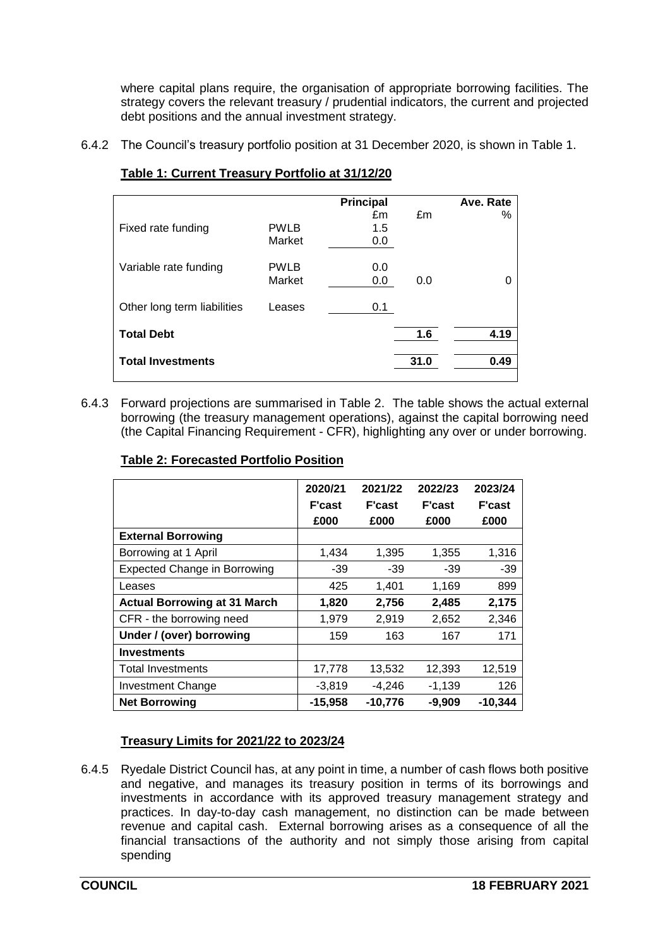where capital plans require, the organisation of appropriate borrowing facilities. The strategy covers the relevant treasury / prudential indicators, the current and projected debt positions and the annual investment strategy.

6.4.2 The Council's treasury portfolio position at 31 December 2020, is shown in Table 1.

|                             |             | Principal |      | Ave. Rate |
|-----------------------------|-------------|-----------|------|-----------|
|                             |             | £m        | £m   | ℅         |
| Fixed rate funding          | <b>PWLB</b> | 1.5       |      |           |
|                             | Market      | 0.0       |      |           |
|                             |             |           |      |           |
| Variable rate funding       | <b>PWLB</b> | 0.0       |      |           |
|                             | Market      | 0.0       | 0.0  | 0         |
|                             |             |           |      |           |
| Other long term liabilities | Leases      | 0.1       |      |           |
|                             |             |           |      |           |
| <b>Total Debt</b>           |             |           | 1.6  | 4.19      |
|                             |             |           |      |           |
| <b>Total Investments</b>    |             |           | 31.0 | 0.49      |
|                             |             |           |      |           |

# **Table 1: Current Treasury Portfolio at 31/12/20**

6.4.3 Forward projections are summarised in Table 2. The table shows the actual external borrowing (the treasury management operations), against the capital borrowing need (the Capital Financing Requirement - CFR), highlighting any over or under borrowing.

|                                     | 2020/21<br><b>F'cast</b> | 2021/22<br><b>F'cast</b> | 2022/23<br><b>F'cast</b> | 2023/24<br><b>F'cast</b> |
|-------------------------------------|--------------------------|--------------------------|--------------------------|--------------------------|
|                                     | £000                     | £000                     | £000                     | £000                     |
| <b>External Borrowing</b>           |                          |                          |                          |                          |
| Borrowing at 1 April                | 1,434                    | 1,395                    | 1,355                    | 1,316                    |
| <b>Expected Change in Borrowing</b> | $-39$                    | $-39$                    | $-39$                    | $-39$                    |
| Leases                              | 425                      | 1,401                    | 1,169                    | 899                      |
| <b>Actual Borrowing at 31 March</b> | 1,820                    | 2,756                    | 2,485                    | 2,175                    |
| CFR - the borrowing need            | 1,979                    | 2,919                    | 2,652                    | 2,346                    |
| Under / (over) borrowing            | 159                      | 163                      | 167                      | 171                      |
| <b>Investments</b>                  |                          |                          |                          |                          |
| <b>Total Investments</b>            | 17,778                   | 13,532                   | 12,393                   | 12,519                   |
| <b>Investment Change</b>            | $-3,819$                 | $-4,246$                 | $-1,139$                 | 126                      |
| <b>Net Borrowing</b>                | $-15,958$                | $-10,776$                | $-9,909$                 | $-10,344$                |

# **Table 2: Forecasted Portfolio Position**

# **Treasury Limits for 2021/22 to 2023/24**

6.4.5 Ryedale District Council has, at any point in time, a number of cash flows both positive and negative, and manages its treasury position in terms of its borrowings and investments in accordance with its approved treasury management strategy and practices. In day-to-day cash management, no distinction can be made between revenue and capital cash. External borrowing arises as a consequence of all the financial transactions of the authority and not simply those arising from capital spending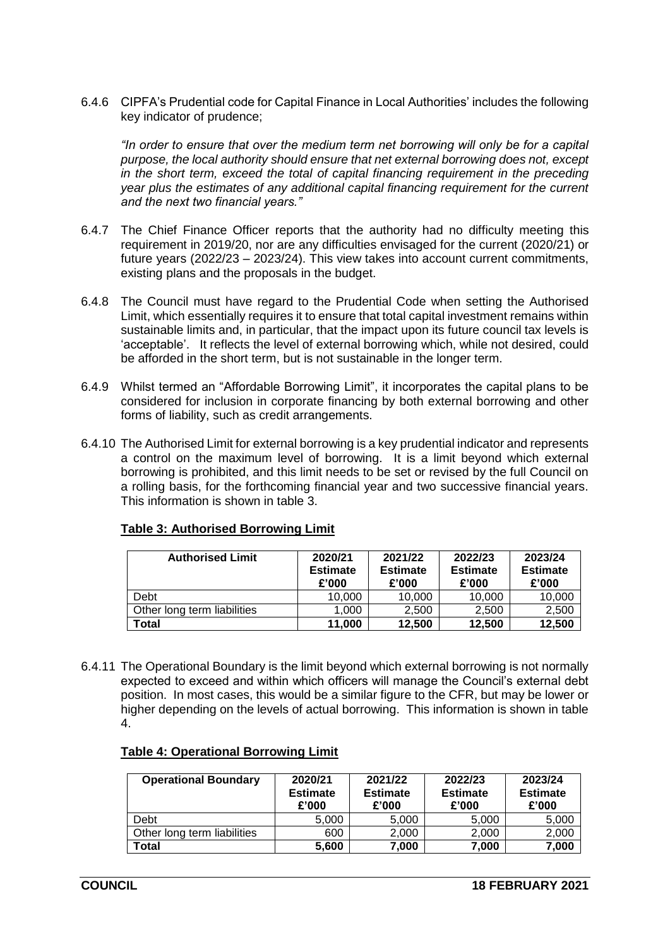6.4.6 CIPFA's Prudential code for Capital Finance in Local Authorities' includes the following key indicator of prudence;

*"In order to ensure that over the medium term net borrowing will only be for a capital purpose, the local authority should ensure that net external borrowing does not, except in the short term, exceed the total of capital financing requirement in the preceding year plus the estimates of any additional capital financing requirement for the current and the next two financial years."*

- 6.4.7 The Chief Finance Officer reports that the authority had no difficulty meeting this requirement in 2019/20, nor are any difficulties envisaged for the current (2020/21) or future years (2022/23 – 2023/24). This view takes into account current commitments, existing plans and the proposals in the budget.
- 6.4.8 The Council must have regard to the Prudential Code when setting the Authorised Limit, which essentially requires it to ensure that total capital investment remains within sustainable limits and, in particular, that the impact upon its future council tax levels is 'acceptable'. It reflects the level of external borrowing which, while not desired, could be afforded in the short term, but is not sustainable in the longer term.
- 6.4.9 Whilst termed an "Affordable Borrowing Limit", it incorporates the capital plans to be considered for inclusion in corporate financing by both external borrowing and other forms of liability, such as credit arrangements.
- 6.4.10 The Authorised Limit for external borrowing is a key prudential indicator and represents a control on the maximum level of borrowing. It is a limit beyond which external borrowing is prohibited, and this limit needs to be set or revised by the full Council on a rolling basis, for the forthcoming financial year and two successive financial years. This information is shown in table 3.

| <b>Authorised Limit</b>     | 2020/21<br><b>Estimate</b><br>£'000 | 2021/22<br><b>Estimate</b><br>£'000 |        | 2023/24<br><b>Estimate</b><br>£'000 |  |
|-----------------------------|-------------------------------------|-------------------------------------|--------|-------------------------------------|--|
| Debt                        | 10.000                              | 10,000                              | 10,000 | 10,000                              |  |
| Other long term liabilities | 1.000                               | 2.500                               | 2.500  | 2,500                               |  |
| Total                       | 11,000                              | 12,500                              | 12,500 | 12,500                              |  |

# **Table 3: Authorised Borrowing Limit**

6.4.11 The Operational Boundary is the limit beyond which external borrowing is not normally expected to exceed and within which officers will manage the Council's external debt position. In most cases, this would be a similar figure to the CFR, but may be lower or higher depending on the levels of actual borrowing. This information is shown in table 4.

| <b>Operational Boundary</b> | 2020/21<br><b>Estimate</b><br>£'000 | 2021/22<br><b>Estimate</b><br>£'000 | 2022/23<br><b>Estimate</b><br>£'000 | 2023/24<br><b>Estimate</b><br>£'000 |
|-----------------------------|-------------------------------------|-------------------------------------|-------------------------------------|-------------------------------------|
| <b>Debt</b>                 | 5.000                               | 5,000                               | 5,000                               | 5,000                               |
| Other long term liabilities | 600                                 | 2,000                               | 2,000                               | 2,000                               |
| Total                       | 5,600                               | 7,000                               | 7,000                               | 7,000                               |

#### **Table 4: Operational Borrowing Limit**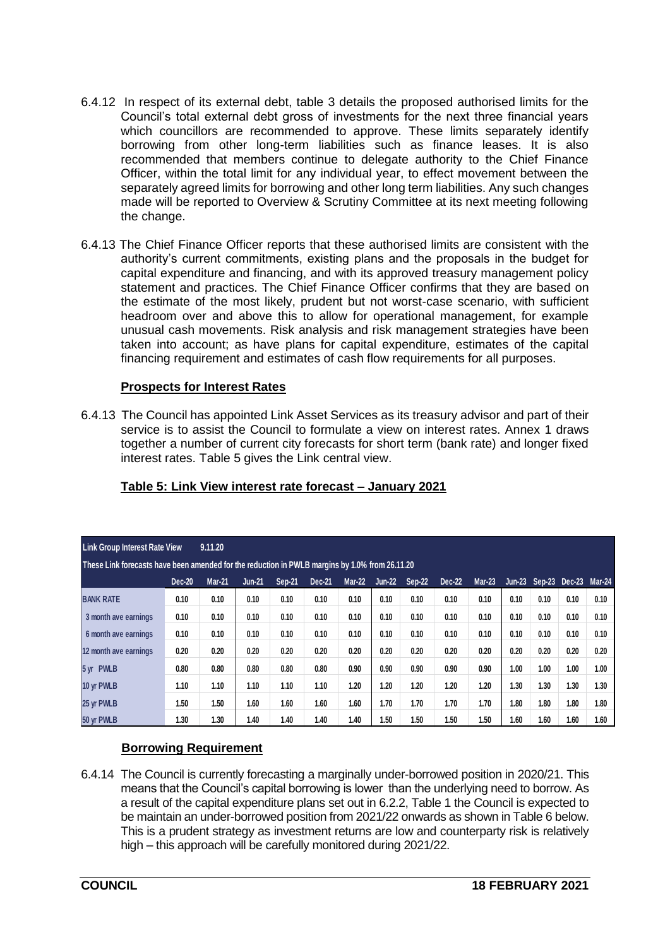- 6.4.12 In respect of its external debt, table 3 details the proposed authorised limits for the Council's total external debt gross of investments for the next three financial years which councillors are recommended to approve. These limits separately identify borrowing from other long-term liabilities such as finance leases. It is also recommended that members continue to delegate authority to the Chief Finance Officer, within the total limit for any individual year, to effect movement between the separately agreed limits for borrowing and other long term liabilities. Any such changes made will be reported to Overview & Scrutiny Committee at its next meeting following the change.
- 6.4.13 The Chief Finance Officer reports that these authorised limits are consistent with the authority's current commitments, existing plans and the proposals in the budget for capital expenditure and financing, and with its approved treasury management policy statement and practices. The Chief Finance Officer confirms that they are based on the estimate of the most likely, prudent but not worst-case scenario, with sufficient headroom over and above this to allow for operational management, for example unusual cash movements. Risk analysis and risk management strategies have been taken into account; as have plans for capital expenditure, estimates of the capital financing requirement and estimates of cash flow requirements for all purposes.

# **Prospects for Interest Rates**

6.4.13 The Council has appointed Link Asset Services as its treasury advisor and part of their service is to assist the Council to formulate a view on interest rates. Annex 1 draws together a number of current city forecasts for short term (bank rate) and longer fixed interest rates. Table 5 gives the Link central view.

| <b>Link Group Interest Rate View</b>                                                           |               | 9.11.20       |               |        |        |               |               |        |        |               |          |      |               |          |
|------------------------------------------------------------------------------------------------|---------------|---------------|---------------|--------|--------|---------------|---------------|--------|--------|---------------|----------|------|---------------|----------|
| These Link forecasts have been amended for the reduction in PWLB margins by 1.0% from 26.11.20 |               |               |               |        |        |               |               |        |        |               |          |      |               |          |
|                                                                                                | <b>Dec-20</b> | <b>Mar-21</b> | <b>Jun-21</b> | Sep-21 | Dec-21 | <b>Mar-22</b> | <b>Jun-22</b> | Sep-22 | Dec-22 | <b>Mar-23</b> | $Jun-23$ |      | Sep-23 Dec-23 | $Mar-24$ |
| <b>BANK RATE</b>                                                                               | 0.10          | 0.10          | 0.10          | 0.10   | 0.10   | 0.10          | 0.10          | 0.10   | 0.10   | 0.10          | 0.10     | 0.10 | 0.10          | 0.10     |
| 3 month ave earnings                                                                           | 0.10          | 0.10          | 0.10          | 0.10   | 0.10   | 0.10          | 0.10          | 0.10   | 0.10   | 0.10          | 0.10     | 0.10 | 0.10          | 0.10     |
| 6 month ave earnings                                                                           | 0.10          | 0.10          | 0.10          | 0.10   | 0.10   | 0.10          | 0.10          | 0.10   | 0.10   | 0.10          | 0.10     | 0.10 | 0.10          | 0.10     |
| 12 month ave earnings                                                                          | 0.20          | 0.20          | 0.20          | 0.20   | 0.20   | 0.20          | 0.20          | 0.20   | 0.20   | 0.20          | 0.20     | 0.20 | 0.20          | 0.20     |
| 5 yr PWLB                                                                                      | 0.80          | 0.80          | 0.80          | 0.80   | 0.80   | 0.90          | 0.90          | 0.90   | 0.90   | 0.90          | 1.00     | 1.00 | 1.00          | 1.00     |
| 10 yr PWLB                                                                                     | 1.10          | 1.10          | 1.10          | 1.10   | 1.10   | 1.20          | 1.20          | 1.20   | 1.20   | 1.20          | 1.30     | 1.30 | 1.30          | 1.30     |
| 25 yr PWLB                                                                                     | 1.50          | 1.50          | 1.60          | 1.60   | 1.60   | 1.60          | 1.70          | 1.70   | 1.70   | 1.70          | 1.80     | 1.80 | 1.80          | 1.80     |
| 50 yr PWLB                                                                                     | 1.30          | 1.30          | 1.40          | 1.40   | 1.40   | 1.40          | 1.50          | 1.50   | 1.50   | 1.50          | 1.60     | 1.60 | 1.60          | 1.60     |

# **Table 5: Link View interest rate forecast – January 2021**

# **Borrowing Requirement**

6.4.14 The Council is currently forecasting a marginally under-borrowed position in 2020/21. This means that the Council's capital borrowing is lower than the underlying need to borrow. As a result of the capital expenditure plans set out in 6.2.2, Table 1 the Council is expected to be maintain an under-borrowed position from 2021/22 onwards as shown in Table 6 below. This is a prudent strategy as investment returns are low and counterparty risk is relatively high – this approach will be carefully monitored during 2021/22.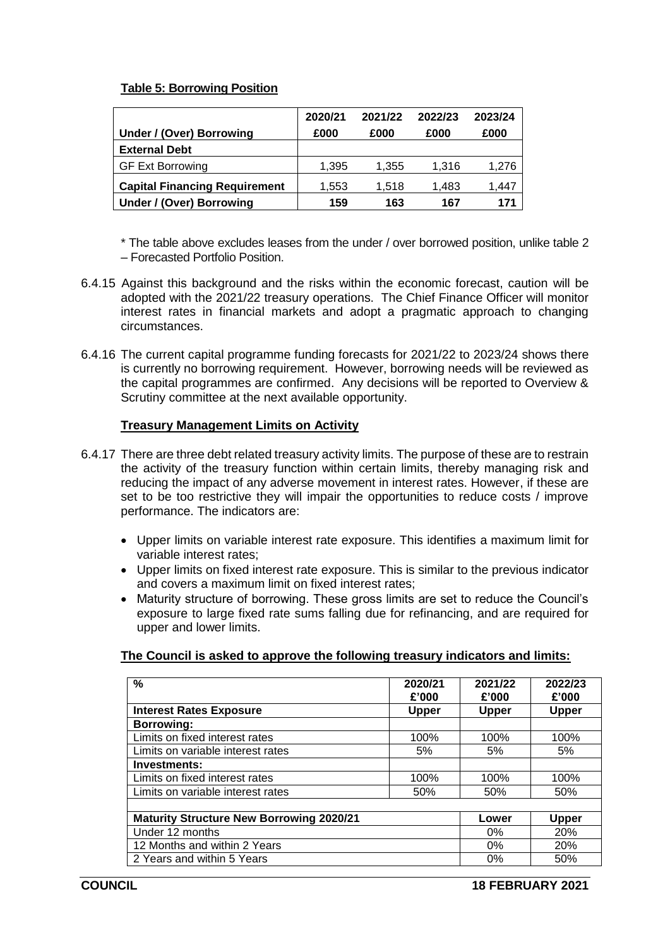# **Table 5: Borrowing Position**

| Under / (Over) Borrowing             | 2020/21<br>£000 | 2021/22<br>£000 | 2022/23<br>£000 | 2023/24<br>£000 |
|--------------------------------------|-----------------|-----------------|-----------------|-----------------|
| <b>External Debt</b>                 |                 |                 |                 |                 |
| <b>GF Ext Borrowing</b>              | 1,395           | 1,355           | 1,316           | 1,276           |
| <b>Capital Financing Requirement</b> | 1,553           | 1,518           | 1,483           | 1,447           |
| Under / (Over) Borrowing             | 159             | 163             | 167             | 171             |

\* The table above excludes leases from the under / over borrowed position, unlike table 2 – Forecasted Portfolio Position.

- 6.4.15 Against this background and the risks within the economic forecast, caution will be adopted with the 2021/22 treasury operations. The Chief Finance Officer will monitor interest rates in financial markets and adopt a pragmatic approach to changing circumstances.
- 6.4.16 The current capital programme funding forecasts for 2021/22 to 2023/24 shows there is currently no borrowing requirement. However, borrowing needs will be reviewed as the capital programmes are confirmed. Any decisions will be reported to Overview & Scrutiny committee at the next available opportunity.

## **Treasury Management Limits on Activity**

- 6.4.17 There are three debt related treasury activity limits. The purpose of these are to restrain the activity of the treasury function within certain limits, thereby managing risk and reducing the impact of any adverse movement in interest rates. However, if these are set to be too restrictive they will impair the opportunities to reduce costs / improve performance. The indicators are:
	- Upper limits on variable interest rate exposure. This identifies a maximum limit for variable interest rates;
	- Upper limits on fixed interest rate exposure. This is similar to the previous indicator and covers a maximum limit on fixed interest rates;
	- Maturity structure of borrowing. These gross limits are set to reduce the Council's exposure to large fixed rate sums falling due for refinancing, and are required for upper and lower limits.

## **The Council is asked to approve the following treasury indicators and limits:**

| $\%$                                            | 2020/21<br>£'000 | 2021/22<br>£'000 | 2022/23<br>£'000 |
|-------------------------------------------------|------------------|------------------|------------------|
| <b>Interest Rates Exposure</b>                  | <b>Upper</b>     | <b>Upper</b>     | <b>Upper</b>     |
| <b>Borrowing:</b>                               |                  |                  |                  |
| Limits on fixed interest rates                  | 100%             | 100%             | 100%             |
| Limits on variable interest rates               | 5%               | 5%               | 5%               |
| Investments:                                    |                  |                  |                  |
| Limits on fixed interest rates                  | 100%             | 100%             | 100%             |
| Limits on variable interest rates               | 50%              | 50%              | 50%              |
|                                                 |                  |                  |                  |
| <b>Maturity Structure New Borrowing 2020/21</b> |                  | Lower            | <b>Upper</b>     |
| Under 12 months                                 | $0\%$            | 20%              |                  |
| 12 Months and within 2 Years                    |                  | $0\%$            | <b>20%</b>       |
| 2 Years and within 5 Years                      |                  | 0%               | 50%              |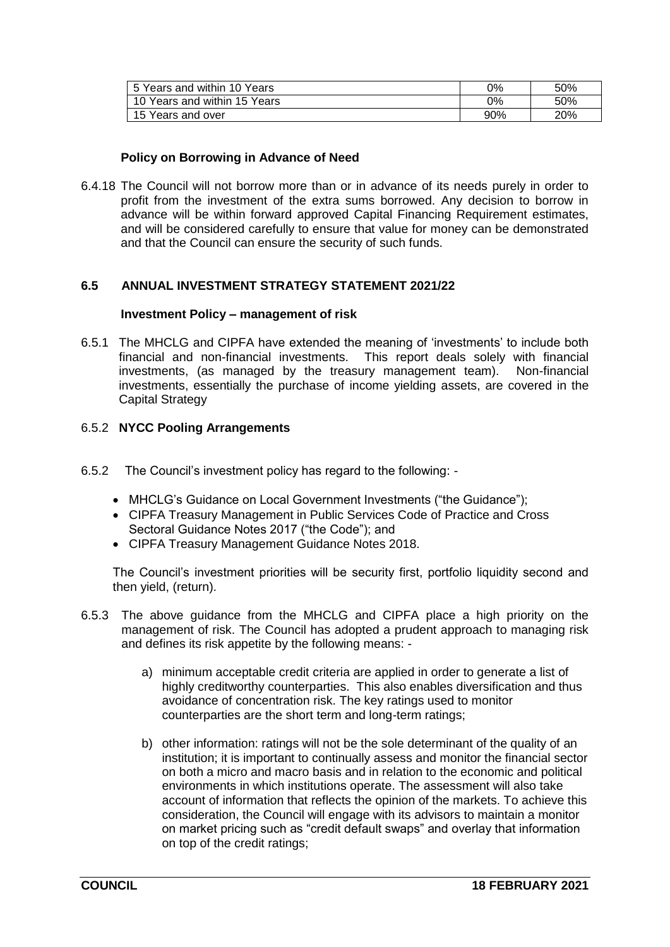| 5 Years and within 10 Years  | 0%  | 50% |
|------------------------------|-----|-----|
| 10 Years and within 15 Years | 0%  | 50% |
| 15 Years and over            | 90% | 20% |

### **Policy on Borrowing in Advance of Need**

6.4.18 The Council will not borrow more than or in advance of its needs purely in order to profit from the investment of the extra sums borrowed. Any decision to borrow in advance will be within forward approved Capital Financing Requirement estimates, and will be considered carefully to ensure that value for money can be demonstrated and that the Council can ensure the security of such funds.

#### **6.5 ANNUAL INVESTMENT STRATEGY STATEMENT 2021/22**

#### **Investment Policy – management of risk**

6.5.1 The MHCLG and CIPFA have extended the meaning of 'investments' to include both financial and non-financial investments. This report deals solely with financial investments, (as managed by the treasury management team). Non-financial investments, essentially the purchase of income yielding assets, are covered in the Capital Strategy

## 6.5.2 **NYCC Pooling Arrangements**

- 6.5.2 The Council's investment policy has regard to the following:
	- MHCLG's Guidance on Local Government Investments ("the Guidance");
	- CIPFA Treasury Management in Public Services Code of Practice and Cross Sectoral Guidance Notes 2017 ("the Code"); and
	- CIPFA Treasury Management Guidance Notes 2018.

The Council's investment priorities will be security first, portfolio liquidity second and then yield, (return).

- 6.5.3 The above guidance from the MHCLG and CIPFA place a high priority on the management of risk. The Council has adopted a prudent approach to managing risk and defines its risk appetite by the following means:
	- a) minimum acceptable credit criteria are applied in order to generate a list of highly creditworthy counterparties. This also enables diversification and thus avoidance of concentration risk. The key ratings used to monitor counterparties are the short term and long-term ratings;
	- b) other information: ratings will not be the sole determinant of the quality of an institution; it is important to continually assess and monitor the financial sector on both a micro and macro basis and in relation to the economic and political environments in which institutions operate. The assessment will also take account of information that reflects the opinion of the markets. To achieve this consideration, the Council will engage with its advisors to maintain a monitor on market pricing such as "credit default swaps" and overlay that information on top of the credit ratings;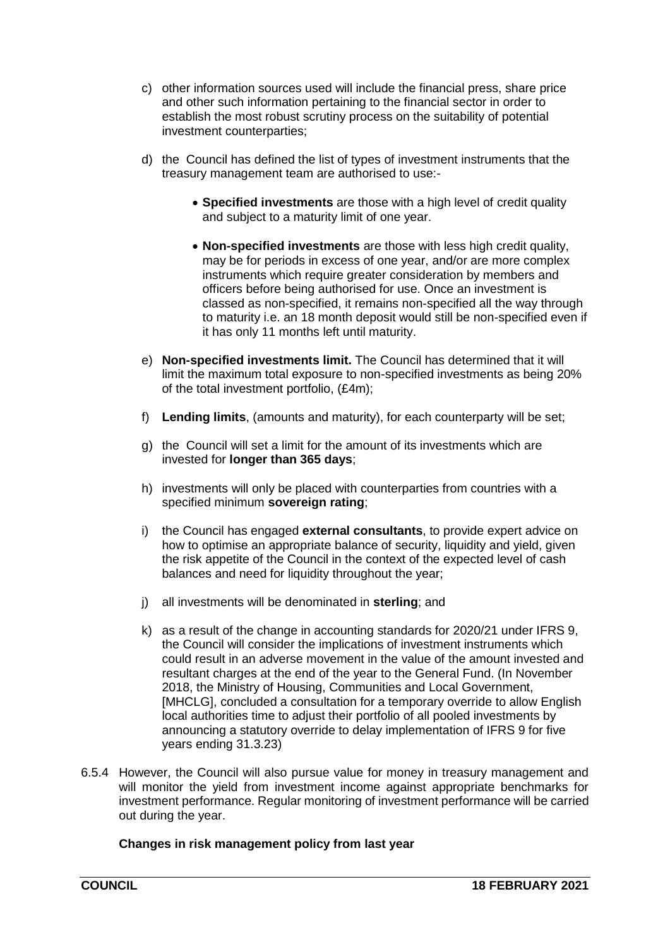- c) other information sources used will include the financial press, share price and other such information pertaining to the financial sector in order to establish the most robust scrutiny process on the suitability of potential investment counterparties;
- d) the Council has defined the list of types of investment instruments that the treasury management team are authorised to use:-
	- **Specified investments** are those with a high level of credit quality and subject to a maturity limit of one year.
	- **Non-specified investments** are those with less high credit quality, may be for periods in excess of one year, and/or are more complex instruments which require greater consideration by members and officers before being authorised for use. Once an investment is classed as non-specified, it remains non-specified all the way through to maturity i.e. an 18 month deposit would still be non-specified even if it has only 11 months left until maturity.
- e) **Non-specified investments limit.** The Council has determined that it will limit the maximum total exposure to non-specified investments as being 20% of the total investment portfolio, (£4m);
- f) **Lending limits**, (amounts and maturity), for each counterparty will be set;
- g) the Council will set a limit for the amount of its investments which are invested for **longer than 365 days**;
- h) investments will only be placed with counterparties from countries with a specified minimum **sovereign rating**;
- i) the Council has engaged **external consultants**, to provide expert advice on how to optimise an appropriate balance of security, liquidity and yield, given the risk appetite of the Council in the context of the expected level of cash balances and need for liquidity throughout the year;
- j) all investments will be denominated in **sterling**; and
- k) as a result of the change in accounting standards for 2020/21 under IFRS 9, the Council will consider the implications of investment instruments which could result in an adverse movement in the value of the amount invested and resultant charges at the end of the year to the General Fund. (In November 2018, the Ministry of Housing, Communities and Local Government, [MHCLG], concluded a consultation for a temporary override to allow English local authorities time to adjust their portfolio of all pooled investments by announcing a statutory override to delay implementation of IFRS 9 for five years ending 31.3.23)
- 6.5.4 However, the Council will also pursue value for money in treasury management and will monitor the yield from investment income against appropriate benchmarks for investment performance. Regular monitoring of investment performance will be carried out during the year.

## **Changes in risk management policy from last year**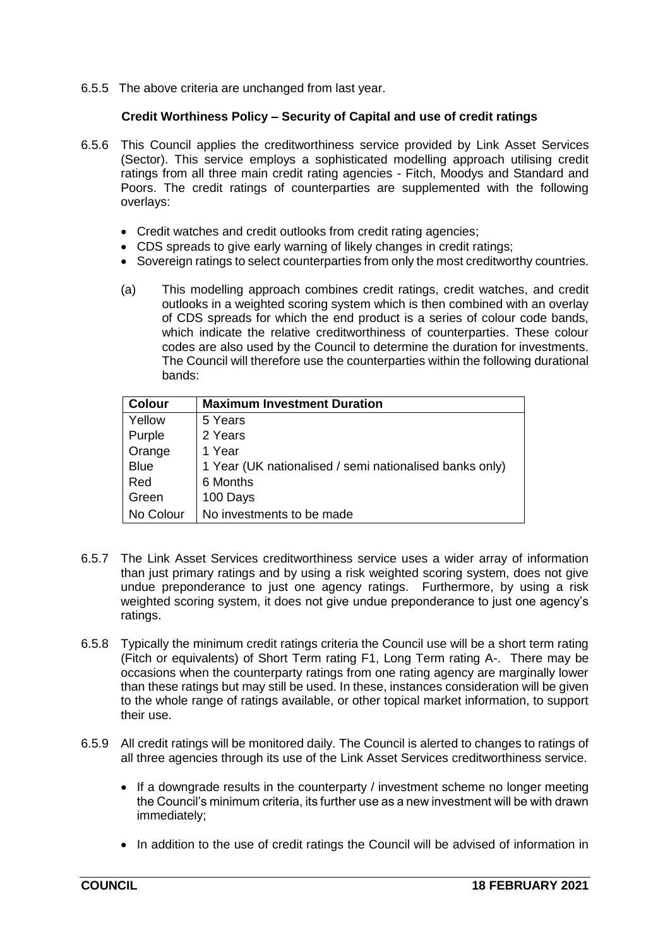6.5.5 The above criteria are unchanged from last year.

# **Credit Worthiness Policy – Security of Capital and use of credit ratings**

- 6.5.6 This Council applies the creditworthiness service provided by Link Asset Services (Sector). This service employs a sophisticated modelling approach utilising credit ratings from all three main credit rating agencies - Fitch, Moodys and Standard and Poors. The credit ratings of counterparties are supplemented with the following overlays:
	- Credit watches and credit outlooks from credit rating agencies;
	- CDS spreads to give early warning of likely changes in credit ratings;
	- Sovereign ratings to select counterparties from only the most creditworthy countries.
	- (a) This modelling approach combines credit ratings, credit watches, and credit outlooks in a weighted scoring system which is then combined with an overlay of CDS spreads for which the end product is a series of colour code bands, which indicate the relative creditworthiness of counterparties. These colour codes are also used by the Council to determine the duration for investments. The Council will therefore use the counterparties within the following durational bands:

| <b>Colour</b> | <b>Maximum Investment Duration</b>                      |
|---------------|---------------------------------------------------------|
| Yellow        | 5 Years                                                 |
| Purple        | 2 Years                                                 |
| Orange        | 1 Year                                                  |
| <b>Blue</b>   | 1 Year (UK nationalised / semi nationalised banks only) |
| Red           | 6 Months                                                |
| Green         | 100 Days                                                |
| No Colour     | No investments to be made                               |

- 6.5.7 The Link Asset Services creditworthiness service uses a wider array of information than just primary ratings and by using a risk weighted scoring system, does not give undue preponderance to just one agency ratings. Furthermore, by using a risk weighted scoring system, it does not give undue preponderance to just one agency's ratings.
- 6.5.8 Typically the minimum credit ratings criteria the Council use will be a short term rating (Fitch or equivalents) of Short Term rating F1, Long Term rating A-. There may be occasions when the counterparty ratings from one rating agency are marginally lower than these ratings but may still be used. In these, instances consideration will be given to the whole range of ratings available, or other topical market information, to support their use.
- 6.5.9 All credit ratings will be monitored daily. The Council is alerted to changes to ratings of all three agencies through its use of the Link Asset Services creditworthiness service.
	- If a downgrade results in the counterparty / investment scheme no longer meeting the Council's minimum criteria, its further use as a new investment will be with drawn immediately;
	- In addition to the use of credit ratings the Council will be advised of information in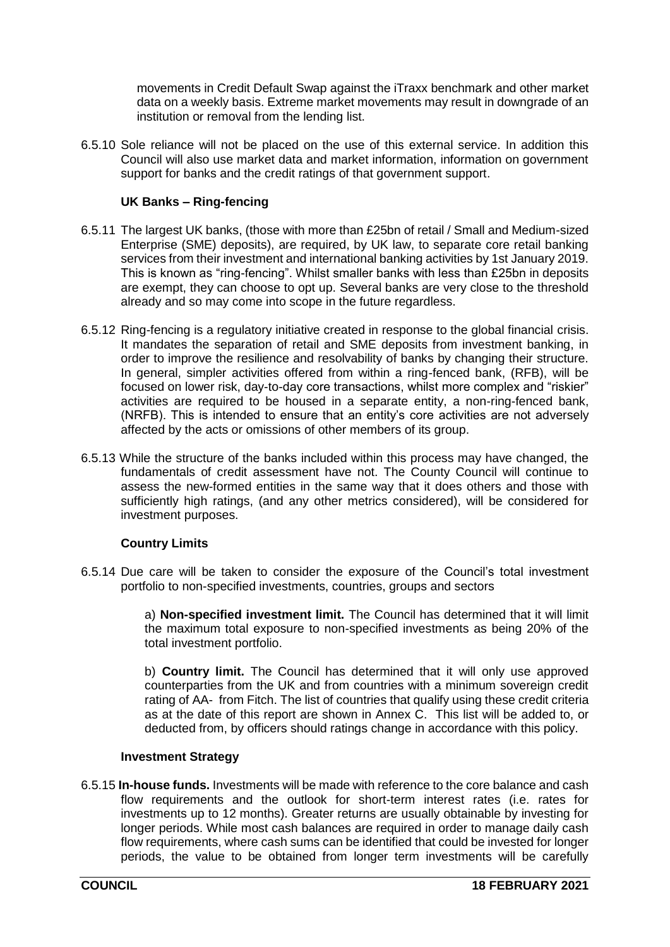movements in Credit Default Swap against the iTraxx benchmark and other market data on a weekly basis. Extreme market movements may result in downgrade of an institution or removal from the lending list.

6.5.10 Sole reliance will not be placed on the use of this external service. In addition this Council will also use market data and market information, information on government support for banks and the credit ratings of that government support.

# **UK Banks – Ring-fencing**

- 6.5.11 The largest UK banks, (those with more than £25bn of retail / Small and Medium-sized Enterprise (SME) deposits), are required, by UK law, to separate core retail banking services from their investment and international banking activities by 1st January 2019. This is known as "ring-fencing". Whilst smaller banks with less than £25bn in deposits are exempt, they can choose to opt up. Several banks are very close to the threshold already and so may come into scope in the future regardless.
- 6.5.12 Ring-fencing is a regulatory initiative created in response to the global financial crisis. It mandates the separation of retail and SME deposits from investment banking, in order to improve the resilience and resolvability of banks by changing their structure. In general, simpler activities offered from within a ring-fenced bank, (RFB), will be focused on lower risk, day-to-day core transactions, whilst more complex and "riskier" activities are required to be housed in a separate entity, a non-ring-fenced bank, (NRFB). This is intended to ensure that an entity's core activities are not adversely affected by the acts or omissions of other members of its group.
- 6.5.13 While the structure of the banks included within this process may have changed, the fundamentals of credit assessment have not. The County Council will continue to assess the new-formed entities in the same way that it does others and those with sufficiently high ratings, (and any other metrics considered), will be considered for investment purposes.

## **Country Limits**

6.5.14 Due care will be taken to consider the exposure of the Council's total investment portfolio to non-specified investments, countries, groups and sectors

> a) **Non-specified investment limit.** The Council has determined that it will limit the maximum total exposure to non-specified investments as being 20% of the total investment portfolio.

> b) **Country limit.** The Council has determined that it will only use approved counterparties from the UK and from countries with a minimum sovereign credit rating of AA- from Fitch. The list of countries that qualify using these credit criteria as at the date of this report are shown in Annex C. This list will be added to, or deducted from, by officers should ratings change in accordance with this policy.

## **Investment Strategy**

6.5.15 **In-house funds.** Investments will be made with reference to the core balance and cash flow requirements and the outlook for short-term interest rates (i.e. rates for investments up to 12 months). Greater returns are usually obtainable by investing for longer periods. While most cash balances are required in order to manage daily cash flow requirements, where cash sums can be identified that could be invested for longer periods, the value to be obtained from longer term investments will be carefully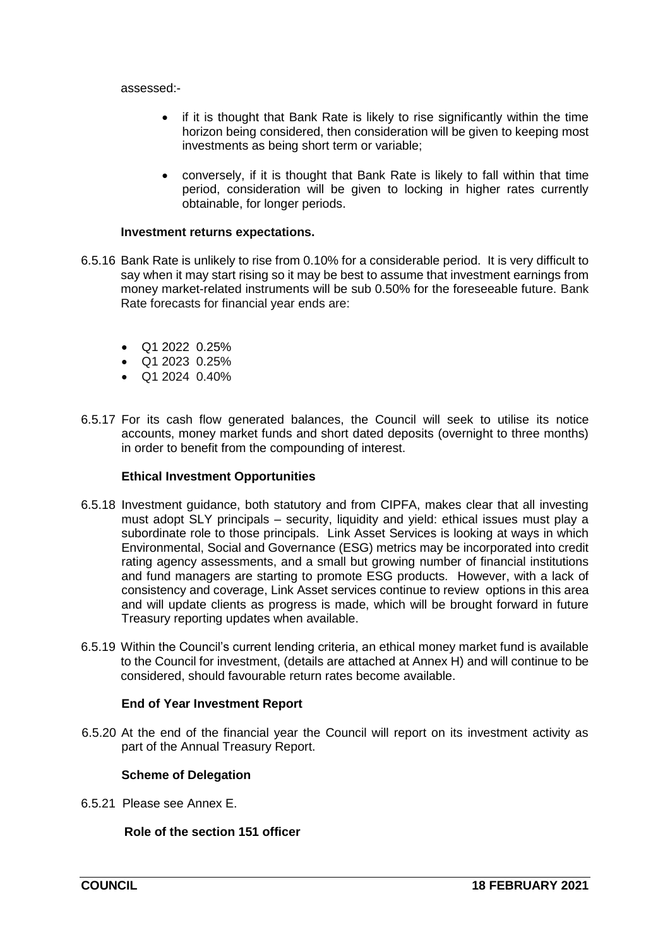assessed:-

- if it is thought that Bank Rate is likely to rise significantly within the time horizon being considered, then consideration will be given to keeping most investments as being short term or variable;
- conversely, if it is thought that Bank Rate is likely to fall within that time period, consideration will be given to locking in higher rates currently obtainable, for longer periods.

### **Investment returns expectations.**

- 6.5.16 Bank Rate is unlikely to rise from 0.10% for a considerable period. It is very difficult to say when it may start rising so it may be best to assume that investment earnings from money market-related instruments will be sub 0.50% for the foreseeable future. Bank Rate forecasts for financial year ends are:
	- Q1 2022 0.25%
	- Q1 2023 0.25%
	- $\bullet$  Q1 2024 0.40%
- 6.5.17 For its cash flow generated balances, the Council will seek to utilise its notice accounts, money market funds and short dated deposits (overnight to three months) in order to benefit from the compounding of interest.

### **Ethical Investment Opportunities**

- 6.5.18 Investment guidance, both statutory and from CIPFA, makes clear that all investing must adopt SLY principals – security, liquidity and yield: ethical issues must play a subordinate role to those principals. Link Asset Services is looking at ways in which Environmental, Social and Governance (ESG) metrics may be incorporated into credit rating agency assessments, and a small but growing number of financial institutions and fund managers are starting to promote ESG products. However, with a lack of consistency and coverage, Link Asset services continue to review options in this area and will update clients as progress is made, which will be brought forward in future Treasury reporting updates when available.
- 6.5.19 Within the Council's current lending criteria, an ethical money market fund is available to the Council for investment, (details are attached at Annex H) and will continue to be considered, should favourable return rates become available.

## **End of Year Investment Report**

6.5.20 At the end of the financial year the Council will report on its investment activity as part of the Annual Treasury Report.

## **Scheme of Delegation**

6.5.21 Please see Annex E.

# **Role of the section 151 officer**